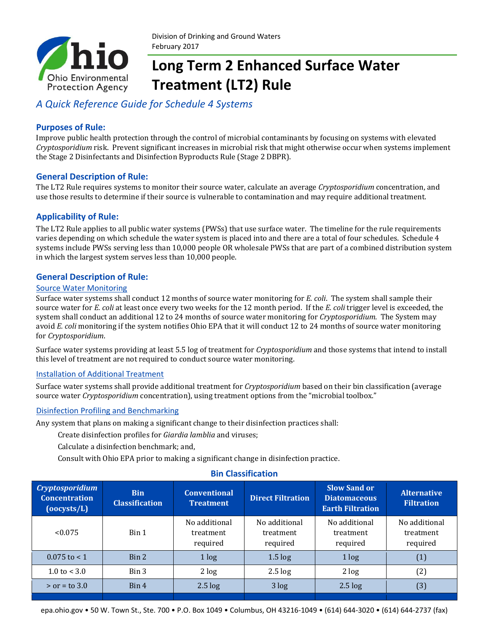

# **Long Term 2 Enhanced Surface Water Treatment (LT2) Rule**

### *A Quick Reference Guide for Schedule 4 Systems*

#### **Purposes of Rule:**

Improve public health protection through the control of microbial contaminants by focusing on systems with elevated *Cryptosporidium* risk. Prevent significant increases in microbial risk that might otherwise occur when systems implement the Stage 2 Disinfectants and Disinfection Byproducts Rule (Stage 2 DBPR).

#### **General Description of Rule:**

The LT2 Rule requires systems to monitor their source water, calculate an average *Cryptosporidium* concentration, and use those results to determine if their source is vulnerable to contamination and may require additional treatment.

#### **Applicability of Rule:**

The LT2 Rule applies to all public water systems (PWSs) that use surface water. The timeline for the rule requirements varies depending on which schedule the water system is placed into and there are a total of four schedules. Schedule 4 systems include PWSs serving less than 10,000 people OR wholesale PWSs that are part of a combined distribution system in which the largest system serves less than 10,000 people.

#### **General Description of Rule:**

#### Source Water Monitoring

Surface water systems shall conduct 12 months of source water monitoring for *E. coli*. The system shall sample their source water for *E. coli* at least once every two weeks for the 12 month period. If the *E. coli* trigger level is exceeded, the system shall conduct an additional 12 to 24 months of source water monitoring for *Cryptosporidium*. The System may avoid *E. coli* monitoring if the system notifies Ohio EPA that it will conduct 12 to 24 months of source water monitoring for *Cryptosporidium*.

Surface water systems providing at least 5.5 log of treatment for *Cryptosporidium* and those systems that intend to install this level of treatment are not required to conduct source water monitoring.

#### Installation of Additional Treatment

Surface water systems shall provide additional treatment for *Cryptosporidium* based on their bin classification (average source water *Cryptosporidium* concentration), using treatment options from the "microbial toolbox."

#### Disinfection Profiling and Benchmarking

Any system that plans on making a significant change to their disinfection practices shall:

Create disinfection profiles for *Giardia lamblia* and viruses;

Calculate a disinfection benchmark; and,

Consult with Ohio EPA prior to making a significant change in disinfection practice.

#### **Bin Classification**

| <b>Cryptosporidium</b><br><b>Concentration</b><br>$(00 \text{cysts/L})$ | <b>Bin</b><br><b>Classification</b> | <b>Conventional</b><br><b>Treatment</b> | <b>Direct Filtration</b>               | <b>Slow Sand or</b><br><b>Diatomaceous</b><br><b>Earth Filtration</b> | <b>Alternative</b><br><b>Filtration</b> |
|-------------------------------------------------------------------------|-------------------------------------|-----------------------------------------|----------------------------------------|-----------------------------------------------------------------------|-----------------------------------------|
| < 0.075                                                                 | Bin 1                               | No additional<br>treatment<br>required  | No additional<br>treatment<br>required | No additional<br>treatment<br>required                                | No additional<br>treatment<br>required  |
| $0.075$ to $< 1$                                                        | Bin 2                               | 1 log                                   | $1.5 \log$                             | 1 log                                                                 | (1)                                     |
| $1.0 \text{ to } < 3.0$                                                 | Bin 3                               | 2 log                                   | $2.5 \log$                             | 2 log                                                                 | (2)                                     |
| $>$ or = to 3.0                                                         | Bin 4                               | $2.5 \log$                              | 3 log                                  | $2.5 \log$                                                            | (3)                                     |
|                                                                         |                                     |                                         |                                        |                                                                       |                                         |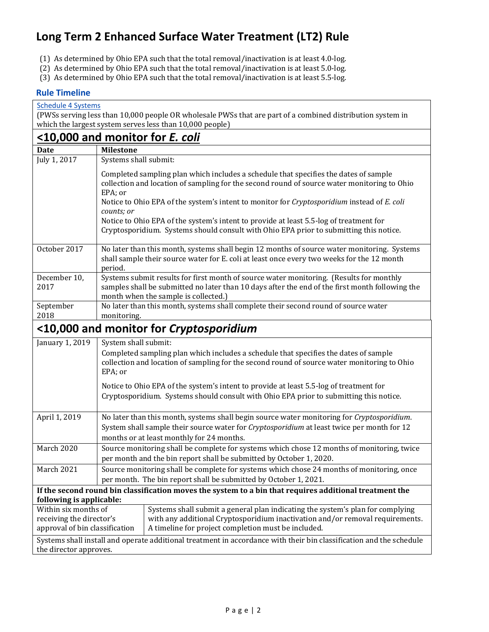### **Long Term 2 Enhanced Surface Water Treatment (LT2) Rule**

- (1) As determined by Ohio EPA such that the total removal/inactivation is at least 4.0-log.
- (2) As determined by Ohio EPA such that the total removal/inactivation is at least 5.0-log.
- (3) As determined by Ohio EPA such that the total removal/inactivation is at least 5.5-log.

#### **Rule Timeline**

| <b>Schedule 4 Systems</b><br>(PWSs serving less than 10,000 people OR wholesale PWSs that are part of a combined distribution system in       |                                                                                                                                                                                                                                              |                                                                                                                                                                                                                                                                                    |  |  |  |  |  |
|-----------------------------------------------------------------------------------------------------------------------------------------------|----------------------------------------------------------------------------------------------------------------------------------------------------------------------------------------------------------------------------------------------|------------------------------------------------------------------------------------------------------------------------------------------------------------------------------------------------------------------------------------------------------------------------------------|--|--|--|--|--|
| which the largest system serves less than 10,000 people)                                                                                      |                                                                                                                                                                                                                                              |                                                                                                                                                                                                                                                                                    |  |  |  |  |  |
| <u>&lt;10,000 and monitor for <i>E. coli</i></u>                                                                                              |                                                                                                                                                                                                                                              |                                                                                                                                                                                                                                                                                    |  |  |  |  |  |
| Date                                                                                                                                          | <b>Milestone</b>                                                                                                                                                                                                                             |                                                                                                                                                                                                                                                                                    |  |  |  |  |  |
| July 1, 2017                                                                                                                                  | Systems shall submit:                                                                                                                                                                                                                        |                                                                                                                                                                                                                                                                                    |  |  |  |  |  |
|                                                                                                                                               | EPA; or                                                                                                                                                                                                                                      | Completed sampling plan which includes a schedule that specifies the dates of sample<br>collection and location of sampling for the second round of source water monitoring to Ohio<br>Notice to Ohio EPA of the system's intent to monitor for Cryptosporidium instead of E. coli |  |  |  |  |  |
|                                                                                                                                               | counts; or                                                                                                                                                                                                                                   | Notice to Ohio EPA of the system's intent to provide at least 5.5-log of treatment for<br>Cryptosporidium. Systems should consult with Ohio EPA prior to submitting this notice.                                                                                                   |  |  |  |  |  |
| October 2017                                                                                                                                  | period.                                                                                                                                                                                                                                      | No later than this month, systems shall begin 12 months of source water monitoring. Systems<br>shall sample their source water for E. coli at least once every two weeks for the 12 month                                                                                          |  |  |  |  |  |
| December 10,<br>2017                                                                                                                          |                                                                                                                                                                                                                                              | Systems submit results for first month of source water monitoring. (Results for monthly<br>samples shall be submitted no later than 10 days after the end of the first month following the<br>month when the sample is collected.)                                                 |  |  |  |  |  |
| September<br>2018                                                                                                                             | No later than this month, systems shall complete their second round of source water<br>monitoring.                                                                                                                                           |                                                                                                                                                                                                                                                                                    |  |  |  |  |  |
|                                                                                                                                               |                                                                                                                                                                                                                                              | <10,000 and monitor for Cryptosporidium                                                                                                                                                                                                                                            |  |  |  |  |  |
| January 1, 2019                                                                                                                               | System shall submit:<br>Completed sampling plan which includes a schedule that specifies the dates of sample<br>collection and location of sampling for the second round of source water monitoring to Ohio<br>EPA; or                       |                                                                                                                                                                                                                                                                                    |  |  |  |  |  |
|                                                                                                                                               | Notice to Ohio EPA of the system's intent to provide at least 5.5-log of treatment for<br>Cryptosporidium. Systems should consult with Ohio EPA prior to submitting this notice.                                                             |                                                                                                                                                                                                                                                                                    |  |  |  |  |  |
| April 1, 2019                                                                                                                                 | No later than this month, systems shall begin source water monitoring for Cryptosporidium.<br>System shall sample their source water for <i>Cryptosporidium</i> at least twice per month for 12<br>months or at least monthly for 24 months. |                                                                                                                                                                                                                                                                                    |  |  |  |  |  |
| <b>March 2020</b>                                                                                                                             | Source monitoring shall be complete for systems which chose 12 months of monitoring, twice<br>per month and the bin report shall be submitted by October 1, 2020.                                                                            |                                                                                                                                                                                                                                                                                    |  |  |  |  |  |
| March 2021                                                                                                                                    | Source monitoring shall be complete for systems which chose 24 months of monitoring, once<br>per month. The bin report shall be submitted by October 1, 2021.                                                                                |                                                                                                                                                                                                                                                                                    |  |  |  |  |  |
|                                                                                                                                               |                                                                                                                                                                                                                                              | If the second round bin classification moves the system to a bin that requires additional treatment the                                                                                                                                                                            |  |  |  |  |  |
| following is applicable:                                                                                                                      |                                                                                                                                                                                                                                              |                                                                                                                                                                                                                                                                                    |  |  |  |  |  |
| Within six months of<br>receiving the director's<br>approval of bin classification                                                            |                                                                                                                                                                                                                                              | Systems shall submit a general plan indicating the system's plan for complying<br>with any additional Cryptosporidium inactivation and/or removal requirements.<br>A timeline for project completion must be included.                                                             |  |  |  |  |  |
| Systems shall install and operate additional treatment in accordance with their bin classification and the schedule<br>the director approves. |                                                                                                                                                                                                                                              |                                                                                                                                                                                                                                                                                    |  |  |  |  |  |
|                                                                                                                                               |                                                                                                                                                                                                                                              |                                                                                                                                                                                                                                                                                    |  |  |  |  |  |